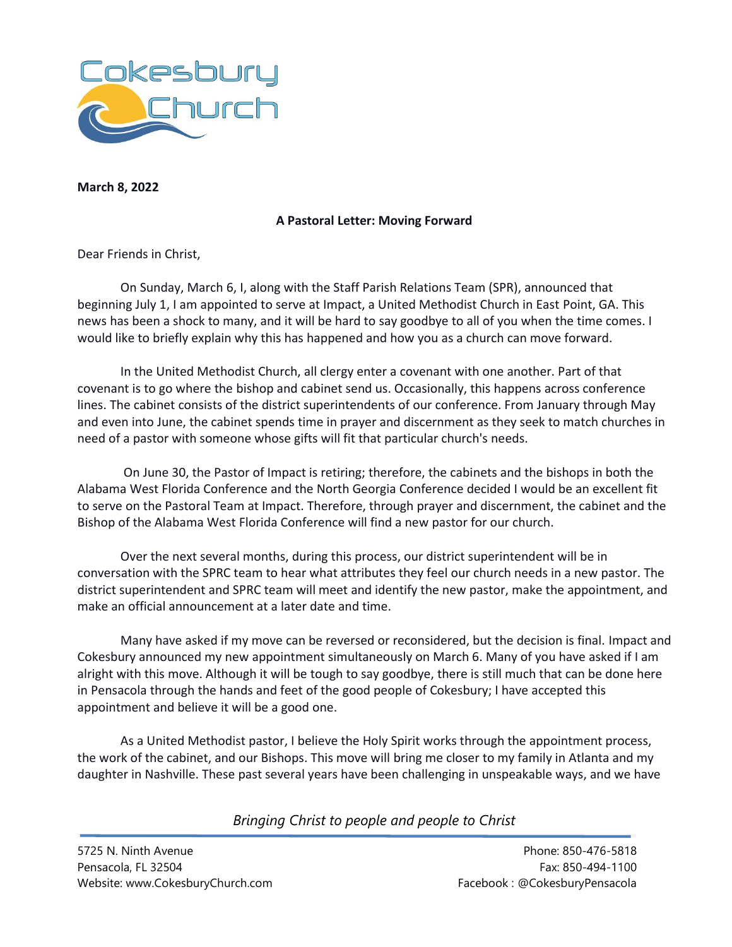

**March 8, 2022**

## **A Pastoral Letter: Moving Forward**

Dear Friends in Christ,

On Sunday, March 6, I, along with the Staff Parish Relations Team (SPR), announced that beginning July 1, I am appointed to serve at Impact, a United Methodist Church in East Point, GA. This news has been a shock to many, and it will be hard to say goodbye to all of you when the time comes. I would like to briefly explain why this has happened and how you as a church can move forward.

In the United Methodist Church, all clergy enter a covenant with one another. Part of that covenant is to go where the bishop and cabinet send us. Occasionally, this happens across conference lines. The cabinet consists of the district superintendents of our conference. From January through May and even into June, the cabinet spends time in prayer and discernment as they seek to match churches in need of a pastor with someone whose gifts will fit that particular church's needs.

On June 30, the Pastor of Impact is retiring; therefore, the cabinets and the bishops in both the Alabama West Florida Conference and the North Georgia Conference decided I would be an excellent fit to serve on the Pastoral Team at Impact. Therefore, through prayer and discernment, the cabinet and the Bishop of the Alabama West Florida Conference will find a new pastor for our church.

Over the next several months, during this process, our district superintendent will be in conversation with the SPRC team to hear what attributes they feel our church needs in a new pastor. The district superintendent and SPRC team will meet and identify the new pastor, make the appointment, and make an official announcement at a later date and time.

Many have asked if my move can be reversed or reconsidered, but the decision is final. Impact and Cokesbury announced my new appointment simultaneously on March 6. Many of you have asked if I am alright with this move. Although it will be tough to say goodbye, there is still much that can be done here in Pensacola through the hands and feet of the good people of Cokesbury; I have accepted this appointment and believe it will be a good one.

As a United Methodist pastor, I believe the Holy Spirit works through the appointment process, the work of the cabinet, and our Bishops. This move will bring me closer to my family in Atlanta and my daughter in Nashville. These past several years have been challenging in unspeakable ways, and we have

*Bringing Christ to people and people to Christ*